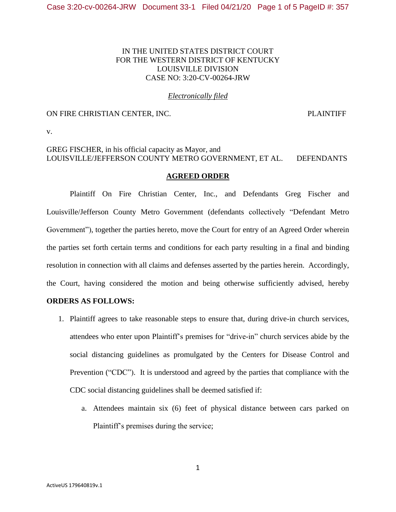## IN THE UNITED STATES DISTRICT COURT FOR THE WESTERN DISTRICT OF KENTUCKY LOUISVILLE DIVISION CASE NO: 3:20-CV-00264-JRW

#### *Electronically filed*

### ON FIRE CHRISTIAN CENTER, INC. PLAINTIFF

v.

# GREG FISCHER, in his official capacity as Mayor, and LOUISVILLE/JEFFERSON COUNTY METRO GOVERNMENT, ET AL. DEFENDANTS

#### **AGREED ORDER**

Plaintiff On Fire Christian Center, Inc., and Defendants Greg Fischer and Louisville/Jefferson County Metro Government (defendants collectively "Defendant Metro Government"), together the parties hereto, move the Court for entry of an Agreed Order wherein the parties set forth certain terms and conditions for each party resulting in a final and binding resolution in connection with all claims and defenses asserted by the parties herein. Accordingly, the Court, having considered the motion and being otherwise sufficiently advised, hereby

#### **ORDERS AS FOLLOWS:**

- 1. Plaintiff agrees to take reasonable steps to ensure that, during drive-in church services, attendees who enter upon Plaintiff's premises for "drive-in" church services abide by the social distancing guidelines as promulgated by the Centers for Disease Control and Prevention ("CDC"). It is understood and agreed by the parties that compliance with the CDC social distancing guidelines shall be deemed satisfied if:
	- a. Attendees maintain six (6) feet of physical distance between cars parked on Plaintiff's premises during the service;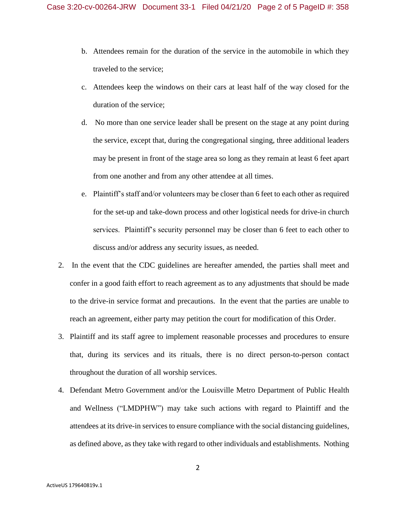- b. Attendees remain for the duration of the service in the automobile in which they traveled to the service;
- c. Attendees keep the windows on their cars at least half of the way closed for the duration of the service;
- d. No more than one service leader shall be present on the stage at any point during the service, except that, during the congregational singing, three additional leaders may be present in front of the stage area so long as they remain at least 6 feet apart from one another and from any other attendee at all times.
- e. Plaintiff's staff and/or volunteers may be closer than 6 feet to each other as required for the set-up and take-down process and other logistical needs for drive-in church services. Plaintiff's security personnel may be closer than 6 feet to each other to discuss and/or address any security issues, as needed.
- 2. In the event that the CDC guidelines are hereafter amended, the parties shall meet and confer in a good faith effort to reach agreement as to any adjustments that should be made to the drive-in service format and precautions. In the event that the parties are unable to reach an agreement, either party may petition the court for modification of this Order.
- 3. Plaintiff and its staff agree to implement reasonable processes and procedures to ensure that, during its services and its rituals, there is no direct person-to-person contact throughout the duration of all worship services.
- 4. Defendant Metro Government and/or the Louisville Metro Department of Public Health and Wellness ("LMDPHW") may take such actions with regard to Plaintiff and the attendees at its drive-in services to ensure compliance with the social distancing guidelines, as defined above, as they take with regard to other individuals and establishments. Nothing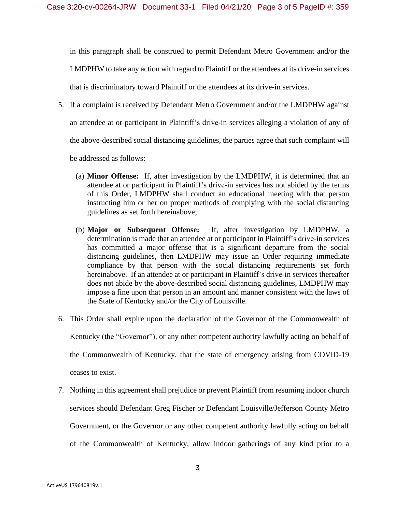in this paragraph shall be construed to permit Defendant Metro Government and/or the LMDPHW to take any action with regard to Plaintiff or the attendees at its drive-in services that is discriminatory toward Plaintiff or the attendees at its drive-in services.

5. If a complaint is received by Defendant Metro Government and/or the LMDPHW against

an attendee at or participant in Plaintiff's drive-in services alleging a violation of any of

the above-described social distancing guidelines, the parties agree that such complaint will

be addressed as follows:

- (a) **Minor Offense:** If, after investigation by the LMDPHW, it is determined that an attendee at or participant in Plaintiff's drive-in services has not abided by the terms of this Order, LMDPHW shall conduct an educational meeting with that person instructing him or her on proper methods of complying with the social distancing guidelines as set forth hereinabove;
- (b) **Major or Subsequent Offense:** If, after investigation by LMDPHW, a determination is made that an attendee at or participant in Plaintiff's drive-in services has committed a major offense that is a significant departure from the social distancing guidelines, then LMDPHW may issue an Order requiring immediate compliance by that person with the social distancing requirements set forth hereinabove. If an attendee at or participant in Plaintiff's drive-in services thereafter does not abide by the above-described social distancing guidelines, LMDPHW may impose a fine upon that person in an amount and manner consistent with the laws of the State of Kentucky and/or the City of Louisville.
- 6. This Order shall expire upon the declaration of the Governor of the Commonwealth of Kentucky (the "Governor"), or any other competent authority lawfully acting on behalf of the Commonwealth of Kentucky, that the state of emergency arising from COVID-19 ceases to exist.
- 7. Nothing in this agreement shall prejudice or prevent Plaintiff from resuming indoor church services should Defendant Greg Fischer or Defendant Louisville/Jefferson County Metro Government, or the Governor or any other competent authority lawfully acting on behalf of the Commonwealth of Kentucky, allow indoor gatherings of any kind prior to a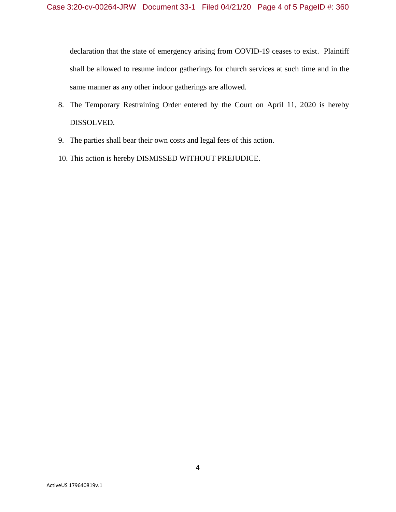declaration that the state of emergency arising from COVID-19 ceases to exist. Plaintiff shall be allowed to resume indoor gatherings for church services at such time and in the same manner as any other indoor gatherings are allowed.

- 8. The Temporary Restraining Order entered by the Court on April 11, 2020 is hereby DISSOLVED.
- 9. The parties shall bear their own costs and legal fees of this action.
- 10. This action is hereby DISMISSED WITHOUT PREJUDICE.